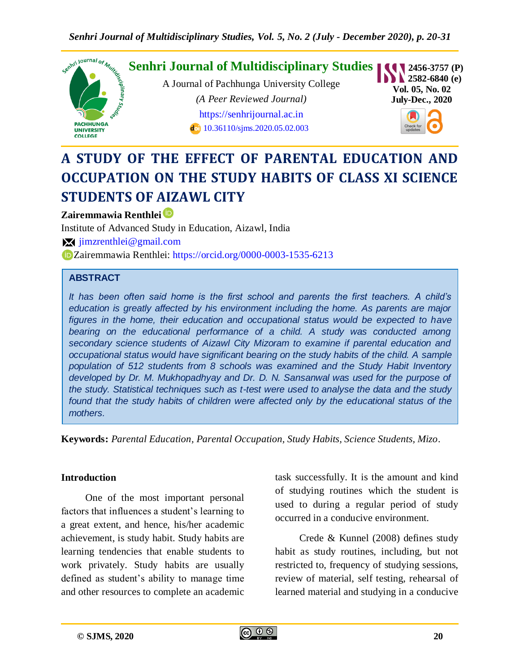

# **A STUDY OF THE EFFECT OF PARENTAL EDUCATION AND OCCUPATION ON THE STUDY HABITS OF CLASS XI SCIENCE STUDENTS OF AIZAWL CITY**

# **Zairemmawia Renthlei**

Institute of Advanced Study in Education, Aizawl, India [jimzrenthlei@gmail.com](mailto:jimzrenthlei@gmail.com) Zairemmawia Renthlei:<https://orcid.org/0000-0003-1535-6213>

## **ABSTRACT**

*It has been often said home is the first school and parents the first teachers. A child's education is greatly affected by his environment including the home. As parents are major*  figures in the home, their education and occupational status would be expected to have bearing on the educational performance of a child. A study was conducted among *secondary science students of Aizawl City Mizoram to examine if parental education and occupational status would have significant bearing on the study habits of the child. A sample population of 512 students from 8 schools was examined and the Study Habit Inventory developed by Dr. M. Mukhopadhyay and Dr. D. N. Sansanwal was used for the purpose of the study. Statistical techniques such as t-test were used to analyse the data and the study*  found that the study habits of children were affected only by the educational status of the *mothers.*

**Keywords:** *Parental Education, Parental Occupation, Study Habits, Science Students, Mizo.*

#### **Introduction**

One of the most important personal factors that influences a student's learning to a great extent, and hence, his/her academic achievement, is study habit. Study habits are learning tendencies that enable students to work privately. Study habits are usually defined as student's ability to manage time and other resources to complete an academic

task successfully. It is the amount and kind of studying routines which the student is used to during a regular period of study occurred in a conducive environment.

Crede & Kunnel (2008) defines study habit as study routines, including, but not restricted to, frequency of studying sessions, review of material, self testing, rehearsal of learned material and studying in a conducive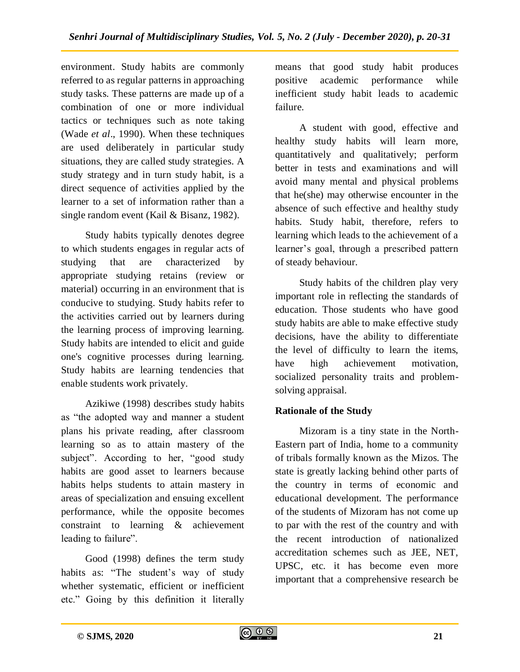environment. Study habits are commonly referred to as regular patterns in approaching study tasks. These patterns are made up of a combination of one or more individual tactics or techniques such as note taking (Wade *et al*., 1990). When these techniques are used deliberately in particular study situations, they are called study strategies. A study strategy and in turn study habit, is a direct sequence of activities applied by the learner to a set of information rather than a single random event (Kail & Bisanz, 1982).

Study habits typically denotes degree to which students engages in regular acts of studying that are characterized by appropriate studying retains (review or material) occurring in an environment that is conducive to studying. Study habits refer to the activities carried out by learners during the learning process of improving learning. Study habits are intended to elicit and guide one's cognitive processes during learning. Study habits are learning tendencies that enable students work privately.

Azikiwe (1998) describes study habits as "the adopted way and manner a student plans his private reading, after classroom learning so as to attain mastery of the subject". According to her, "good study habits are good asset to learners because habits helps students to attain mastery in areas of specialization and ensuing excellent performance, while the opposite becomes constraint to learning & achievement leading to failure".

Good (1998) defines the term study habits as: "The student's way of study whether systematic, efficient or inefficient etc." Going by this definition it literally

means that good study habit produces positive academic performance while inefficient study habit leads to academic failure.

A student with good, effective and healthy study habits will learn more, quantitatively and qualitatively; perform better in tests and examinations and will avoid many mental and physical problems that he(she) may otherwise encounter in the absence of such effective and healthy study habits. Study habit, therefore, refers to learning which leads to the achievement of a learner's goal, through a prescribed pattern of steady behaviour.

Study habits of the children play very important role in reflecting the standards of education. Those students who have good study habits are able to make effective study decisions, have the ability to differentiate the level of difficulty to learn the items, have high achievement motivation, socialized personality traits and problemsolving appraisal.

# **Rationale of the Study**

Mizoram is a tiny state in the North-Eastern part of India, home to a community of tribals formally known as the Mizos. The state is greatly lacking behind other parts of the country in terms of economic and educational development. The performance of the students of Mizoram has not come up to par with the rest of the country and with the recent introduction of nationalized accreditation schemes such as JEE, NET, UPSC, etc. it has become even more important that a comprehensive research be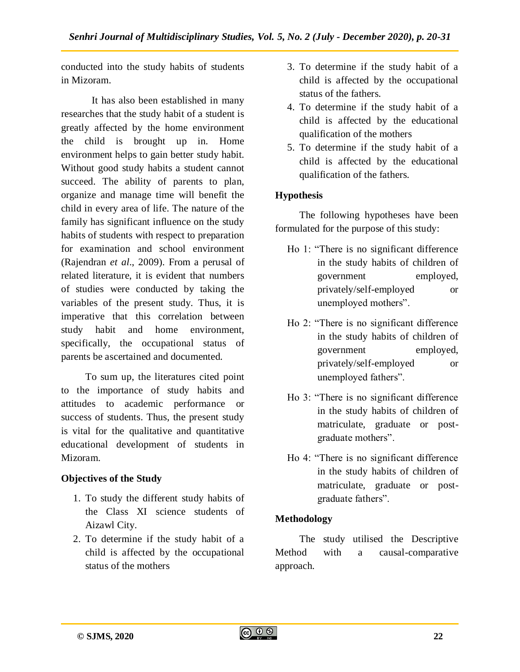conducted into the study habits of students in Mizoram.

It has also been established in many researches that the study habit of a student is greatly affected by the home environment the child is brought up in. Home environment helps to gain better study habit. Without good study habits a student cannot succeed. The ability of parents to plan, organize and manage time will benefit the child in every area of life. The nature of the family has significant influence on the study habits of students with respect to preparation for examination and school environment (Rajendran *et al*., 2009). From a perusal of related literature, it is evident that numbers of studies were conducted by taking the variables of the present study. Thus, it is imperative that this correlation between study habit and home environment, specifically, the occupational status of parents be ascertained and documented.

To sum up, the literatures cited point to the importance of study habits and attitudes to academic performance or success of students. Thus, the present study is vital for the qualitative and quantitative educational development of students in Mizoram.

# **Objectives of the Study**

- 1. To study the different study habits of the Class XI science students of Aizawl City.
- 2. To determine if the study habit of a child is affected by the occupational status of the mothers
- 3. To determine if the study habit of a child is affected by the occupational status of the fathers.
- 4. To determine if the study habit of a child is affected by the educational qualification of the mothers
- 5. To determine if the study habit of a child is affected by the educational qualification of the fathers.

# **Hypothesis**

The following hypotheses have been formulated for the purpose of this study:

- Ho 1: "There is no significant difference in the study habits of children of government employed, privately/self-employed or unemployed mothers".
- Ho 2: "There is no significant difference in the study habits of children of government employed, privately/self-employed or unemployed fathers".
- Ho 3: "There is no significant difference in the study habits of children of matriculate, graduate or postgraduate mothers".
- Ho 4: "There is no significant difference in the study habits of children of matriculate, graduate or postgraduate fathers".

# **Methodology**

The study utilised the Descriptive Method with a causal-comparative approach.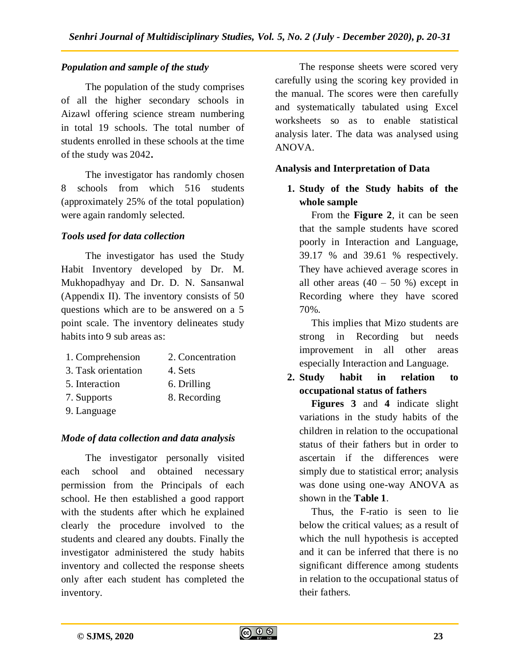## *Population and sample of the study*

The population of the study comprises of all the higher secondary schools in Aizawl offering science stream numbering in total 19 schools. The total number of students enrolled in these schools at the time of the study was 2042**.** 

The investigator has randomly chosen 8 schools from which 516 students (approximately 25% of the total population) were again randomly selected.

## *Tools used for data collection*

The investigator has used the Study Habit Inventory developed by Dr. M. Mukhopadhyay and Dr. D. N. Sansanwal (Appendix II). The inventory consists of 50 questions which are to be answered on a 5 point scale. The inventory delineates study habits into 9 sub areas as:

- 1. Comprehension 2. Concentration
- 3. Task orientation 4. Sets
- 5. Interaction 6. Drilling
- 7. Supports 8. Recording
- 9. Language

#### *Mode of data collection and data analysis*

The investigator personally visited each school and obtained necessary permission from the Principals of each school. He then established a good rapport with the students after which he explained clearly the procedure involved to the students and cleared any doubts. Finally the investigator administered the study habits inventory and collected the response sheets only after each student has completed the inventory.

The response sheets were scored very carefully using the scoring key provided in the manual. The scores were then carefully and systematically tabulated using Excel worksheets so as to enable statistical analysis later. The data was analysed using ANOVA.

## **Analysis and Interpretation of Data**

# **1. Study of the Study habits of the whole sample**

From the **Figure 2**, it can be seen that the sample students have scored poorly in Interaction and Language, 39.17 % and 39.61 % respectively. They have achieved average scores in all other areas  $(40 - 50)$ % except in Recording where they have scored 70%.

This implies that Mizo students are strong in Recording but needs improvement in all other areas especially Interaction and Language.

**2. Study habit in relation to occupational status of fathers**

**Figures 3** and **4** indicate slight variations in the study habits of the children in relation to the occupational status of their fathers but in order to ascertain if the differences were simply due to statistical error; analysis was done using one-way ANOVA as shown in the **Table 1**.

Thus, the F-ratio is seen to lie below the critical values; as a result of which the null hypothesis is accepted and it can be inferred that there is no significant difference among students in relation to the occupational status of their fathers.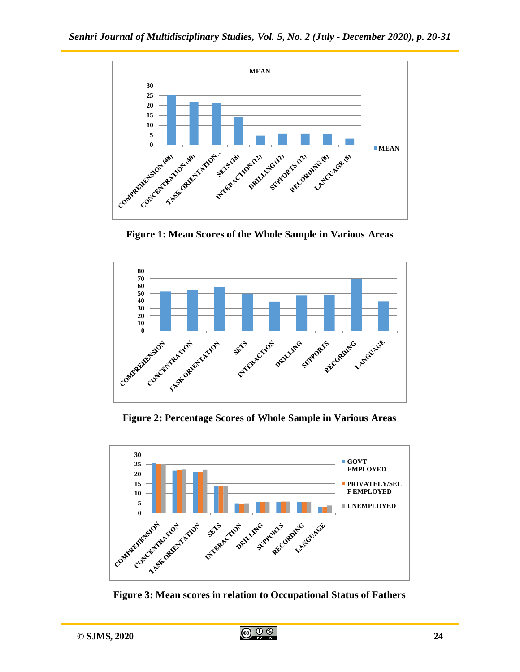

**Figure 1: Mean Scores of the Whole Sample in Various Areas**



**Figure 2: Percentage Scores of Whole Sample in Various Areas**



**Figure 3: Mean scores in relation to Occupational Status of Fathers**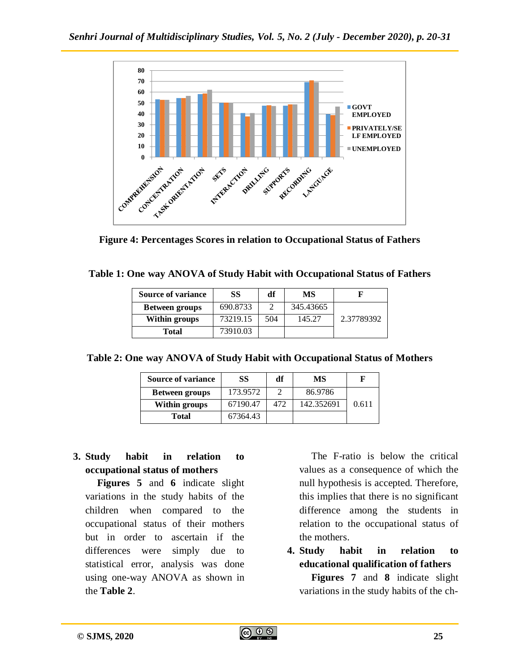

**Figure 4: Percentages Scores in relation to Occupational Status of Fathers**

| <b>Source of variance</b> | SS       | df  | MS        |            |
|---------------------------|----------|-----|-----------|------------|
| <b>Between groups</b>     | 690.8733 |     | 345.43665 |            |
| Within groups             | 73219.15 | 504 | 145.27    | 2.37789392 |
| Total                     | 73910.03 |     |           |            |

**Table 2: One way ANOVA of Study Habit with Occupational Status of Mothers**

| <b>Source of variance</b> | SS       | df  | МS         |       |
|---------------------------|----------|-----|------------|-------|
| <b>Between groups</b>     | 173.9572 |     | 86.9786    |       |
| <b>Within groups</b>      | 67190.47 | 472 | 142.352691 | 0.611 |
| <b>Total</b>              | 67364.43 |     |            |       |

# **3. Study habit in relation to occupational status of mothers**

**Figures 5** and **6** indicate slight variations in the study habits of the children when compared to the occupational status of their mothers but in order to ascertain if the differences were simply due to statistical error, analysis was done using one-way ANOVA as shown in the **Table 2**.

The F-ratio is below the critical values as a consequence of which the null hypothesis is accepted. Therefore, this implies that there is no significant difference among the students in relation to the occupational status of the mothers.

**4. Study habit in relation to educational qualification of fathers**

**Figures 7** and **8** indicate slight variations in the study habits of the ch-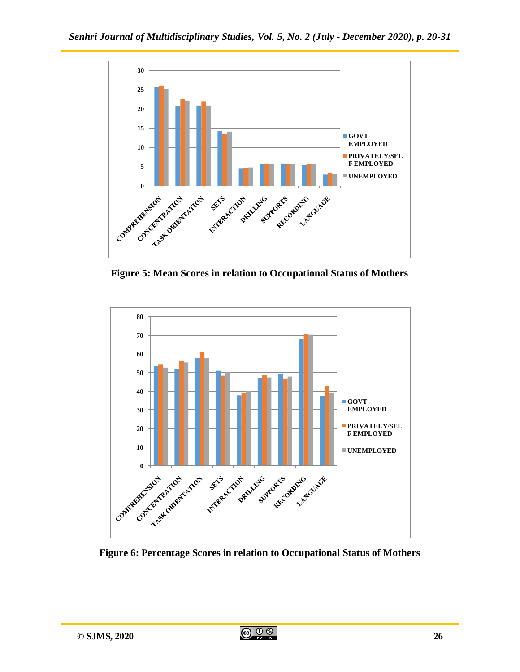

**Figure 5: Mean Scores in relation to Occupational Status of Mothers**



**Figure 6: Percentage Scores in relation to Occupational Status of Mothers**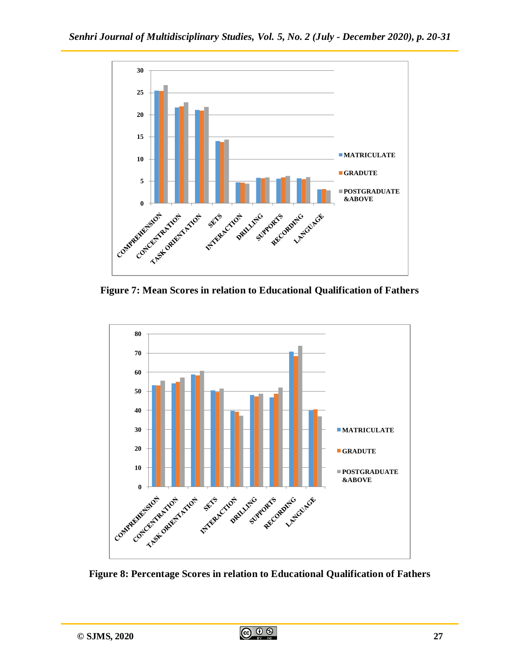

**Figure 7: Mean Scores in relation to Educational Qualification of Fathers**



**Figure 8: Percentage Scores in relation to Educational Qualification of Fathers**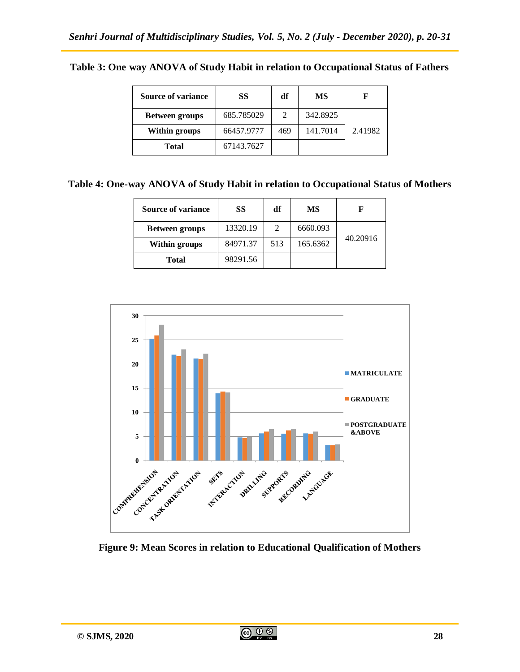| <b>Source of variance</b> | SS         | df  | МS       | F       |
|---------------------------|------------|-----|----------|---------|
| <b>Between groups</b>     | 685.785029 |     | 342.8925 |         |
| <b>Within groups</b>      | 66457.9777 | 469 | 141.7014 | 2.41982 |
| Total                     | 67143.7627 |     |          |         |

#### **Table 3: One way ANOVA of Study Habit in relation to Occupational Status of Fathers**

**Table 4: One-way ANOVA of Study Habit in relation to Occupational Status of Mothers**

| <b>Source of variance</b> | SS       | df  | MS       |          |
|---------------------------|----------|-----|----------|----------|
| <b>Between groups</b>     | 13320.19 |     | 6660.093 | 40.20916 |
| Within groups             | 84971.37 | 513 | 165.6362 |          |
| <b>Total</b>              | 98291.56 |     |          |          |



**Figure 9: Mean Scores in relation to Educational Qualification of Mothers**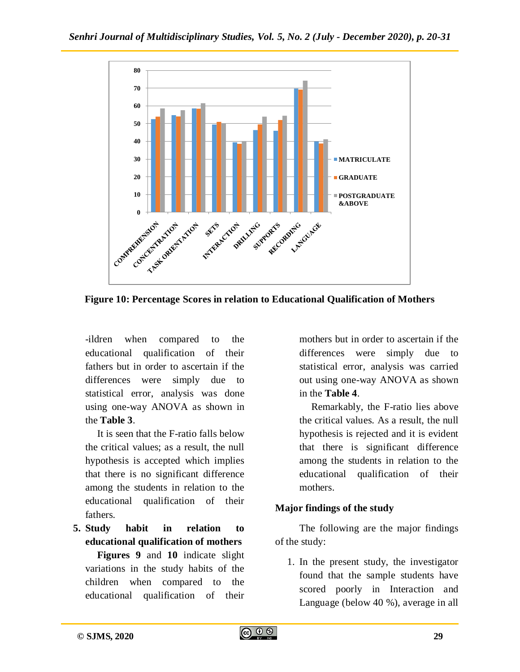

**Figure 10: Percentage Scores in relation to Educational Qualification of Mothers**

-ildren when compared to the educational qualification of their fathers but in order to ascertain if the differences were simply due to statistical error, analysis was done using one-way ANOVA as shown in the **Table 3**.

It is seen that the F-ratio falls below the critical values; as a result, the null hypothesis is accepted which implies that there is no significant difference among the students in relation to the educational qualification of their fathers.

**5. Study habit in relation to educational qualification of mothers Figures 9** and **10** indicate slight variations in the study habits of the children when compared to the educational qualification of their

mothers but in order to ascertain if the differences were simply due to statistical error, analysis was carried out using one-way ANOVA as shown in the **Table 4**.

Remarkably, the F-ratio lies above the critical values. As a result, the null hypothesis is rejected and it is evident that there is significant difference among the students in relation to the educational qualification of their mothers.

#### **Major findings of the study**

The following are the major findings of the study:

1. In the present study, the investigator found that the sample students have scored poorly in Interaction and Language (below 40 %), average in all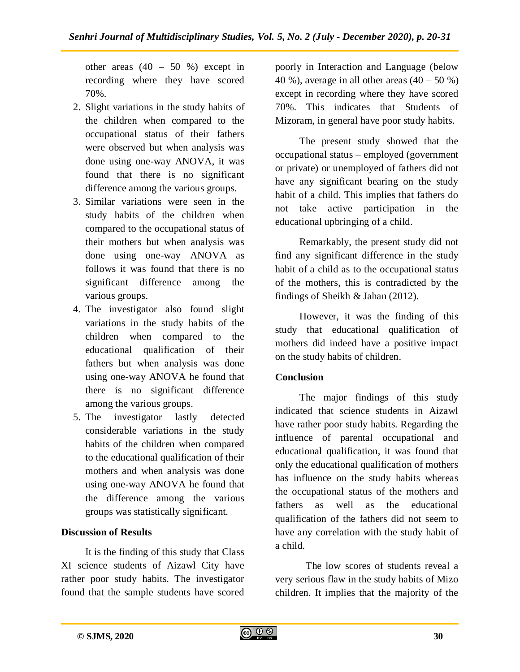other areas  $(40 - 50 %$  except in recording where they have scored 70%.

- 2. Slight variations in the study habits of the children when compared to the occupational status of their fathers were observed but when analysis was done using one-way ANOVA, it was found that there is no significant difference among the various groups.
- 3. Similar variations were seen in the study habits of the children when compared to the occupational status of their mothers but when analysis was done using one-way ANOVA as follows it was found that there is no significant difference among the various groups.
- 4. The investigator also found slight variations in the study habits of the children when compared to the educational qualification of their fathers but when analysis was done using one-way ANOVA he found that there is no significant difference among the various groups.
- 5. The investigator lastly detected considerable variations in the study habits of the children when compared to the educational qualification of their mothers and when analysis was done using one-way ANOVA he found that the difference among the various groups was statistically significant.

# **Discussion of Results**

It is the finding of this study that Class XI science students of Aizawl City have rather poor study habits. The investigator found that the sample students have scored poorly in Interaction and Language (below 40 %), average in all other areas  $(40 - 50 \%)$ except in recording where they have scored 70%. This indicates that Students of Mizoram, in general have poor study habits.

The present study showed that the occupational status – employed (government or private) or unemployed of fathers did not have any significant bearing on the study habit of a child. This implies that fathers do not take active participation in the educational upbringing of a child.

Remarkably, the present study did not find any significant difference in the study habit of a child as to the occupational status of the mothers, this is contradicted by the findings of Sheikh & Jahan (2012).

However, it was the finding of this study that educational qualification of mothers did indeed have a positive impact on the study habits of children.

# **Conclusion**

The major findings of this study indicated that science students in Aizawl have rather poor study habits. Regarding the influence of parental occupational and educational qualification, it was found that only the educational qualification of mothers has influence on the study habits whereas the occupational status of the mothers and fathers as well as the educational qualification of the fathers did not seem to have any correlation with the study habit of a child.

The low scores of students reveal a very serious flaw in the study habits of Mizo children. It implies that the majority of the